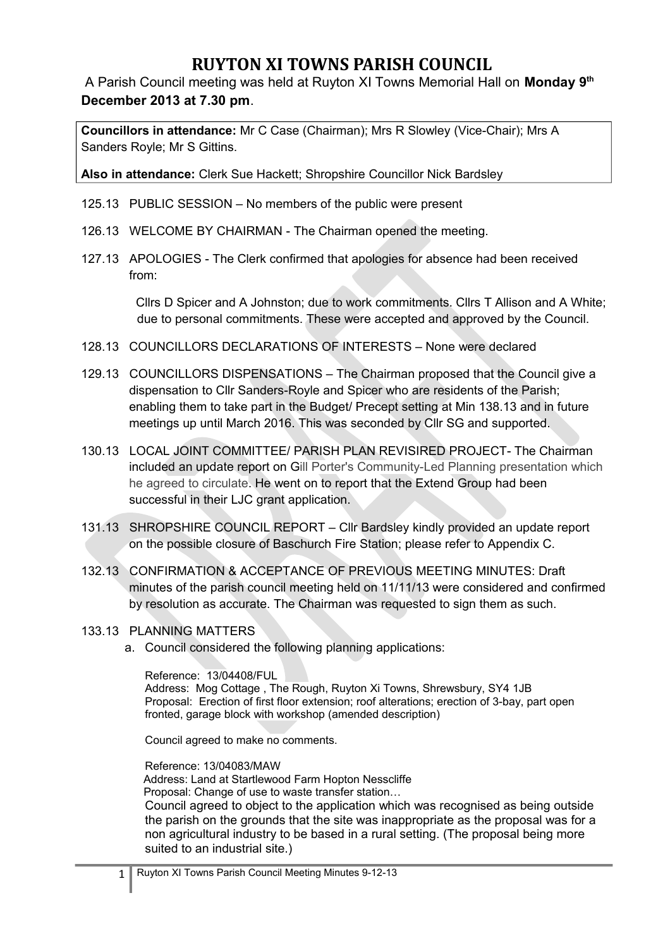# **RUYTON XI TOWNS PARISH COUNCIL**

A Parish Council meeting was held at Ruyton XI Towns Memorial Hall on **Monday 9th December 2013 at 7.30 pm**.

**Councillors in attendance:** Mr C Case (Chairman); Mrs R Slowley (Vice-Chair); Mrs A Sanders Royle; Mr S Gittins.

**Also in attendance:** Clerk Sue Hackett; Shropshire Councillor Nick Bardsley

- 125.13 PUBLIC SESSION No members of the public were present
- 126.13 WELCOME BY CHAIRMAN The Chairman opened the meeting.
- 127.13 APOLOGIES The Clerk confirmed that apologies for absence had been received from:

 Cllrs D Spicer and A Johnston; due to work commitments. Cllrs T Allison and A White; due to personal commitments. These were accepted and approved by the Council.

- 128.13 COUNCILLORS DECLARATIONS OF INTERESTS None were declared
- 129.13 COUNCILLORS DISPENSATIONS The Chairman proposed that the Council give a dispensation to Cllr Sanders-Royle and Spicer who are residents of the Parish; enabling them to take part in the Budget/ Precept setting at Min 138.13 and in future meetings up until March 2016. This was seconded by Cllr SG and supported.
- 130.13 LOCAL JOINT COMMITTEE/ PARISH PLAN REVISIRED PROJECT- The Chairman included an update report on Gill Porter's Community-Led Planning presentation which he agreed to circulate. He went on to report that the Extend Group had been successful in their LJC grant application.
- 131.13 SHROPSHIRE COUNCIL REPORT Cllr Bardsley kindly provided an update report on the possible closure of Baschurch Fire Station; please refer to Appendix C.
- 132.13 CONFIRMATION & ACCEPTANCE OF PREVIOUS MEETING MINUTES: Draft minutes of the parish council meeting held on 11/11/13 were considered and confirmed by resolution as accurate. The Chairman was requested to sign them as such.

#### 133.13 PLANNING MATTERS

a. Council considered the following planning applications:

Reference: 13/04408/FUL Address: Mog Cottage , The Rough, Ruyton Xi Towns, Shrewsbury, SY4 1JB Proposal: Erection of first floor extension; roof alterations; erection of 3-bay, part open fronted, garage block with workshop (amended description)

Council agreed to make no comments.

Reference: 13/04083/MAW Address: Land at Startlewood Farm Hopton Nesscliffe Proposal: Change of use to waste transfer station… Council agreed to object to the application which was recognised as being outside the parish on the grounds that the site was inappropriate as the proposal was for a non agricultural industry to be based in a rural setting. (The proposal being more suited to an industrial site.)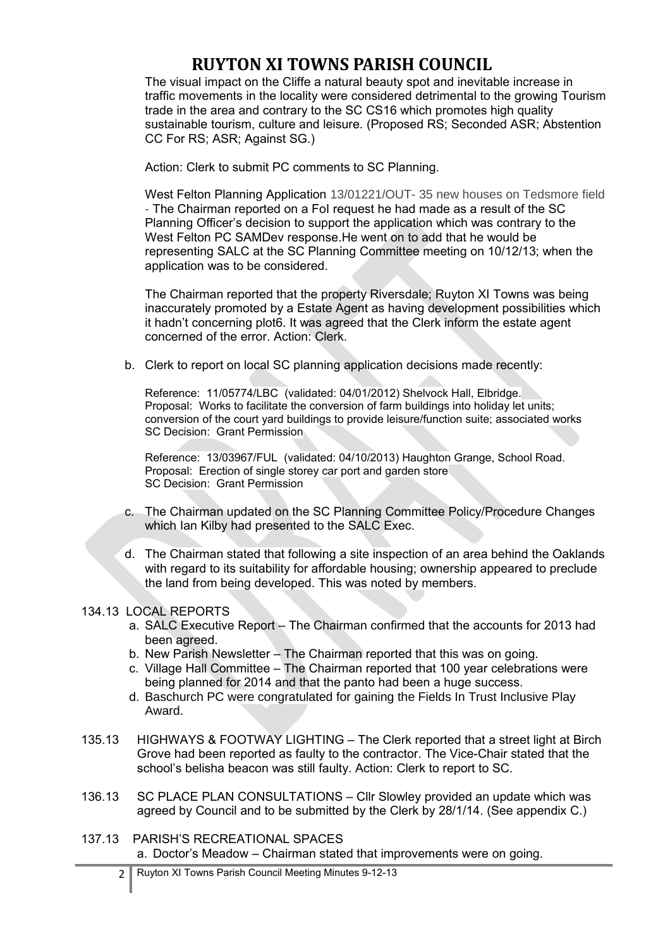## **RUYTON XI TOWNS PARISH COUNCIL**

The visual impact on the Cliffe a natural beauty spot and inevitable increase in traffic movements in the locality were considered detrimental to the growing Tourism trade in the area and contrary to the SC CS16 which promotes high quality sustainable tourism, culture and leisure. (Proposed RS; Seconded ASR; Abstention CC For RS; ASR; Against SG.)

Action: Clerk to submit PC comments to SC Planning.

West Felton Planning Application 13/01221/OUT- 35 new houses on Tedsmore field - The Chairman reported on a FoI request he had made as a result of the SC Planning Officer's decision to support the application which was contrary to the West Felton PC SAMDev response.He went on to add that he would be representing SALC at the SC Planning Committee meeting on 10/12/13; when the application was to be considered.

The Chairman reported that the property Riversdale; Ruyton XI Towns was being inaccurately promoted by a Estate Agent as having development possibilities which it hadn't concerning plot6. It was agreed that the Clerk inform the estate agent concerned of the error. Action: Clerk.

b. Clerk to report on local SC planning application decisions made recently:

Reference: 11/05774/LBC (validated: 04/01/2012) Shelvock Hall, Elbridge. Proposal: Works to facilitate the conversion of farm buildings into holiday let units; conversion of the court yard buildings to provide leisure/function suite; associated works SC Decision: Grant Permission

Reference: 13/03967/FUL (validated: 04/10/2013) Haughton Grange, School Road. Proposal: Erection of single storey car port and garden store SC Decision: Grant Permission

- c. The Chairman updated on the SC Planning Committee Policy/Procedure Changes which Ian Kilby had presented to the SALC Exec.
- d. The Chairman stated that following a site inspection of an area behind the Oaklands with regard to its suitability for affordable housing; ownership appeared to preclude the land from being developed. This was noted by members.

### 134.13 LOCAL REPORTS

- a. SALC Executive Report The Chairman confirmed that the accounts for 2013 had been agreed.
- b. New Parish Newsletter The Chairman reported that this was on going.
- c. Village Hall Committee The Chairman reported that 100 year celebrations were being planned for 2014 and that the panto had been a huge success.
- d. Baschurch PC were congratulated for gaining the Fields In Trust Inclusive Play Award.
- 135.13 HIGHWAYS & FOOTWAY LIGHTING The Clerk reported that a street light at Birch Grove had been reported as faulty to the contractor. The Vice-Chair stated that the school's belisha beacon was still faulty. Action: Clerk to report to SC.
- 136.13 SC PLACE PLAN CONSULTATIONS Cllr Slowley provided an update which was agreed by Council and to be submitted by the Clerk by 28/1/14. (See appendix C.)
- 137.13 PARISH'S RECREATIONAL SPACES a. Doctor's Meadow – Chairman stated that improvements were on going.